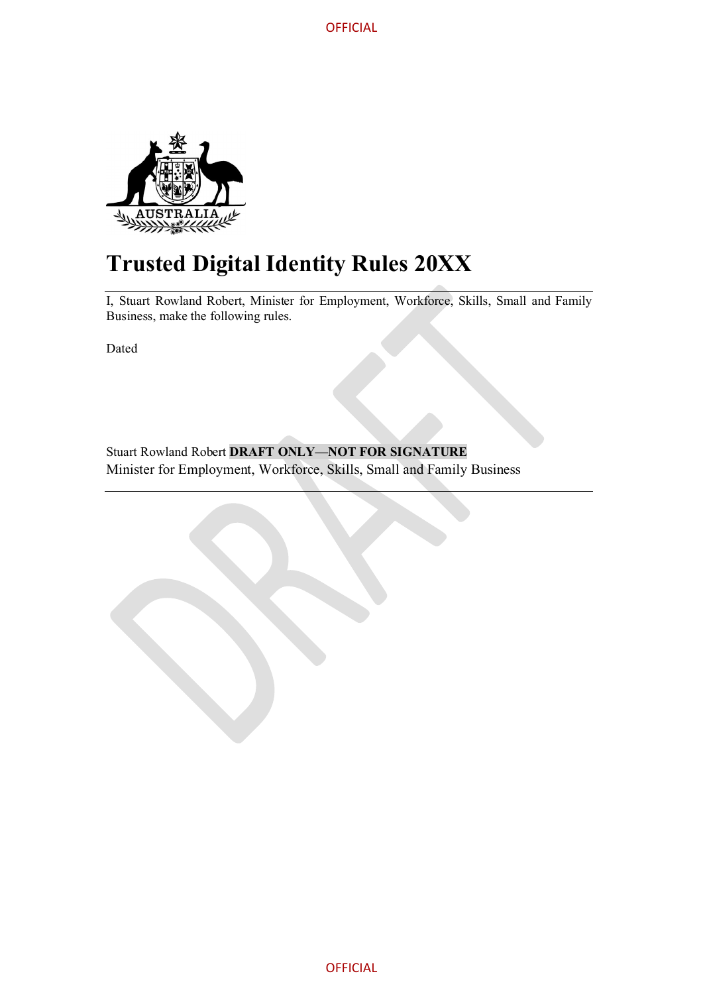**OFFICIAL** 



# **Trusted Digital Identity Rules 20XX**

I, Stuart Rowland Robert, Minister for Employment, Workforce, Skills, Small and Family Business, make the following rules.

Dated

Stuart Rowland Robert **DRAFT ONLY—NOT FOR SIGNATURE** Minister for Employment, Workforce, Skills, Small and Family Business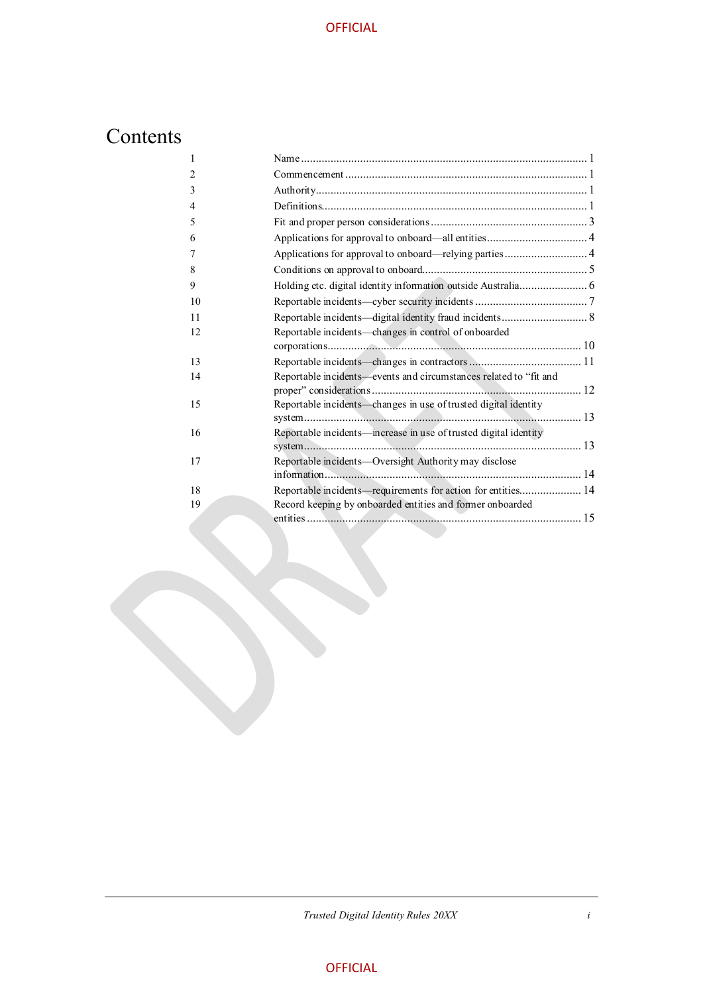# Contents

| $\mathbf{1}$   |                                                                   |  |
|----------------|-------------------------------------------------------------------|--|
| $\overline{2}$ |                                                                   |  |
| 3              |                                                                   |  |
| 4              |                                                                   |  |
| 5              |                                                                   |  |
| 6              |                                                                   |  |
| 7              | Applications for approval to onboard-relying parties  4           |  |
| 8              |                                                                   |  |
| 9              |                                                                   |  |
| 10             |                                                                   |  |
| 11             | Reportable incidents—digital identity fraud incidents 8           |  |
| 12             | Reportable incidents-changes in control of onboarded              |  |
| 13             |                                                                   |  |
| 14             | Reportable incidents-events and circumstances related to "fit and |  |
| 15             | Reportable incidents-changes in use of trusted digital identity   |  |
| 16             | Reportable incidents—increase in use of trusted digital identity  |  |
| 17             | Reportable incidents—Oversight Authority may disclose             |  |
| 18             | Reportable incidents—requirements for action for entities 14      |  |
| 19             | Record keeping by onboarded entities and former onboarded         |  |

*Trusted Digital Identity Rules 20XX i*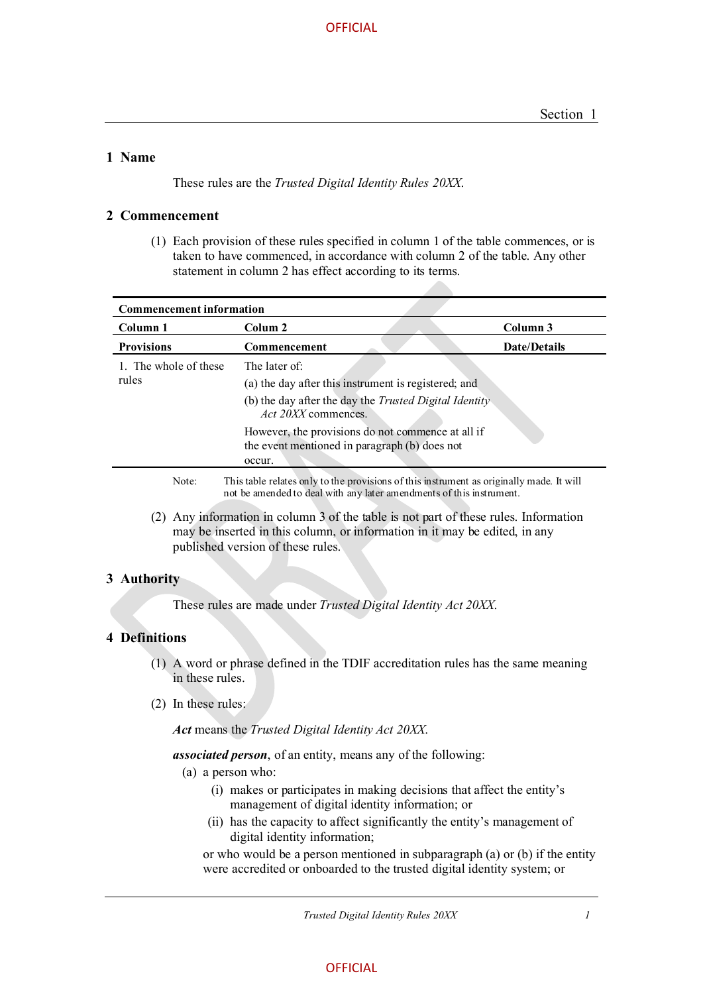#### **1 Name**

These rules are the *Trusted Digital Identity Rules 20XX*.

#### **2 Commencement**

(1) Each provision of these rules specified in column 1 of the table commences, or is taken to have commenced, in accordance with column 2 of the table. Any other statement in column 2 has effect according to its terms.

| <b>Commencement information</b>                                                                   |                                                                                                                                                               |                     |  |  |
|---------------------------------------------------------------------------------------------------|---------------------------------------------------------------------------------------------------------------------------------------------------------------|---------------------|--|--|
| Column 1                                                                                          | Colum 2                                                                                                                                                       | Column 3            |  |  |
| <b>Provisions</b>                                                                                 | Commencement                                                                                                                                                  | <b>Date/Details</b> |  |  |
| 1. The whole of these<br>rules                                                                    | The later of:<br>(a) the day after this instrument is registered; and<br>(b) the day after the day the Trusted Digital Identity<br><i>Act 20XX</i> commences. |                     |  |  |
|                                                                                                   | However, the provisions do not commence at all if<br>the event mentioned in paragraph (b) does not<br>occur.                                                  |                     |  |  |
| This table relates only to the provisions of this instrument as originally made. It will<br>Note: |                                                                                                                                                               |                     |  |  |

Note: This table relates only to the provisions of this instrument as originally made. It will not be amended to deal with any later amendments of this instrument.

(2) Any information in column 3 of the table is not part of these rules. Information may be inserted in this column, or information in it may be edited, in any published version of these rules.

#### **3 Authority**

These rules are made under *Trusted Digital Identity Act 20XX*.

#### **4 Definitions**

- (1) A word or phrase defined in the TDIF accreditation rules has the same meaning in these rules.
- (2) In these rules:

*Act* means the *Trusted Digital Identity Act 20XX*.

*associated person*, of an entity, means any of the following:

- (a) a person who:
	- (i) makes or participates in making decisions that affect the entity's management of digital identity information; or
	- (ii) has the capacity to affect significantly the entity's management of digital identity information;

or who would be a person mentioned in subparagraph (a) or (b) if the entity were accredited or onboarded to the trusted digital identity system; or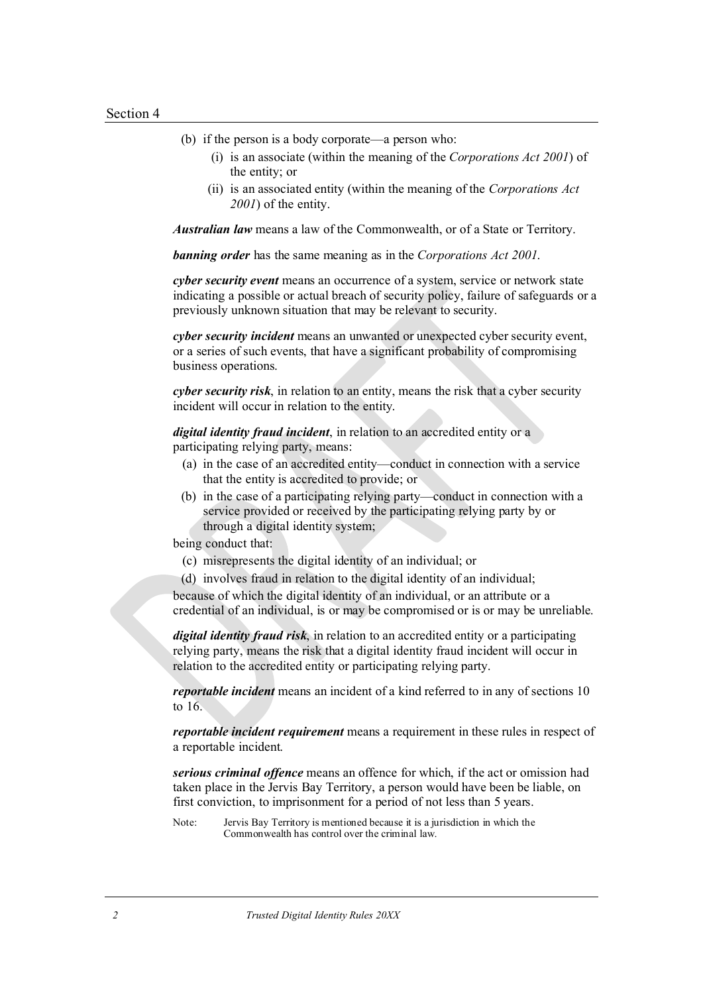- (b) if the person is a body corporate—a person who:
	- (i) is an associate (within the meaning of the *Corporations Act 2001*) of the entity; or
	- (ii) is an associated entity (within the meaning of the *Corporations Act 2001*) of the entity.

*Australian law* means a law of the Commonwealth, or of a State or Territory.

*banning order* has the same meaning as in the *Corporations Act 2001*.

*cyber security event* means an occurrence of a system, service or network state indicating a possible or actual breach of security policy, failure of safeguards or a previously unknown situation that may be relevant to security.

*cyber security incident* means an unwanted or unexpected cyber security event, or a series of such events, that have a significant probability of compromising business operations.

*cyber security risk*, in relation to an entity, means the risk that a cyber security incident will occur in relation to the entity.

*digital identity fraud incident*, in relation to an accredited entity or a participating relying party, means:

- (a) in the case of an accredited entity—conduct in connection with a service that the entity is accredited to provide; or
- (b) in the case of a participating relying party—conduct in connection with a service provided or received by the participating relying party by or through a digital identity system;

being conduct that:

- (c) misrepresents the digital identity of an individual; or
- (d) involves fraud in relation to the digital identity of an individual;

because of which the digital identity of an individual, or an attribute or a credential of an individual, is or may be compromised or is or may be unreliable.

*digital identity fraud risk*, in relation to an accredited entity or a participating relying party, means the risk that a digital identity fraud incident will occur in relation to the accredited entity or participating relying party.

*reportable incident* means an incident of a kind referred to in any of sections 10 to 16.

*reportable incident requirement* means a requirement in these rules in respect of a reportable incident.

*serious criminal offence* means an offence for which, if the act or omission had taken place in the Jervis Bay Territory, a person would have been be liable, on first conviction, to imprisonment for a period of not less than 5 years.

Note: Jervis Bay Territory is mentioned because it is a jurisdiction in which the Commonwealth has control over the criminal law.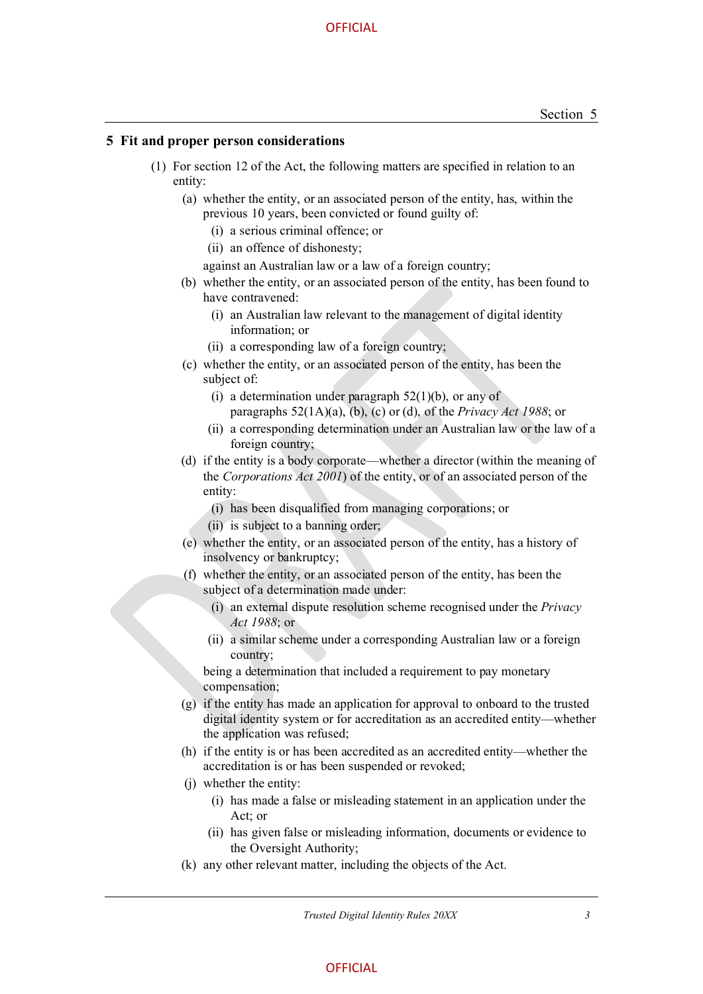#### **5 Fit and proper person considerations**

- (1) For section 12 of the Act, the following matters are specified in relation to an entity:
	- (a) whether the entity, or an associated person of the entity, has, within the previous 10 years, been convicted or found guilty of:
		- (i) a serious criminal offence; or
		- (ii) an offence of dishonesty;
		- against an Australian law or a law of a foreign country;
	- (b) whether the entity, or an associated person of the entity, has been found to have contravened:
		- (i) an Australian law relevant to the management of digital identity information; or
		- (ii) a corresponding law of a foreign country;
	- (c) whether the entity, or an associated person of the entity, has been the subject of:
		- (i) a determination under paragraph  $52(1)(b)$ , or any of paragraphs 52(1A)(a), (b), (c) or (d), of the *Privacy Act 1988*; or
		- (ii) a corresponding determination under an Australian law or the law of a foreign country;
	- (d) if the entity is a body corporate—whether a director (within the meaning of the *Corporations Act 2001*) of the entity, or of an associated person of the entity:
		- (i) has been disqualified from managing corporations; or
		- (ii) is subject to a banning order;
	- (e) whether the entity, or an associated person of the entity, has a history of insolvency or bankruptcy;
	- (f) whether the entity, or an associated person of the entity, has been the subject of a determination made under:
		- (i) an external dispute resolution scheme recognised under the *Privacy Act 1988*; or
		- (ii) a similar scheme under a corresponding Australian law or a foreign country;

being a determination that included a requirement to pay monetary compensation;

- (g) if the entity has made an application for approval to onboard to the trusted digital identity system or for accreditation as an accredited entity—whether the application was refused;
- (h) if the entity is or has been accredited as an accredited entity—whether the accreditation is or has been suspended or revoked;
- (j) whether the entity:
	- (i) has made a false or misleading statement in an application under the Act; or
	- (ii) has given false or misleading information, documents or evidence to the Oversight Authority;
- (k) any other relevant matter, including the objects of the Act.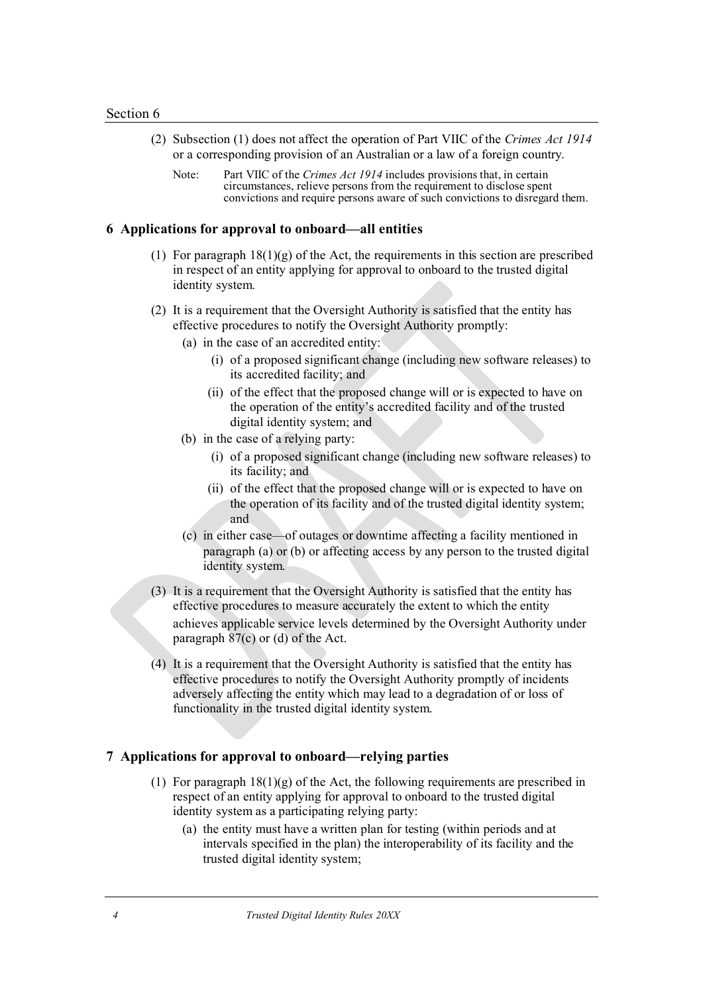- (2) Subsection (1) does not affect the operation of Part VIIC of the *Crimes Act 1914* or a corresponding provision of an Australian or a law of a foreign country.
	- Note: Part VIIC of the *Crimes Act 1914* includes provisions that, in certain circumstances, relieve persons from the requirement to disclose spent convictions and require persons aware of such convictions to disregard them.

#### **6 Applications for approval to onboard—all entities**

- (1) For paragraph  $18(1)(g)$  of the Act, the requirements in this section are prescribed in respect of an entity applying for approval to onboard to the trusted digital identity system.
- (2) It is a requirement that the Oversight Authority is satisfied that the entity has effective procedures to notify the Oversight Authority promptly:
	- (a) in the case of an accredited entity:
		- (i) of a proposed significant change (including new software releases) to its accredited facility; and
		- (ii) of the effect that the proposed change will or is expected to have on the operation of the entity's accredited facility and of the trusted digital identity system; and
	- (b) in the case of a relying party:
		- (i) of a proposed significant change (including new software releases) to its facility; and
		- (ii) of the effect that the proposed change will or is expected to have on the operation of its facility and of the trusted digital identity system; and
	- (c) in either case—of outages or downtime affecting a facility mentioned in paragraph (a) or (b) or affecting access by any person to the trusted digital identity system.
- (3) It is a requirement that the Oversight Authority is satisfied that the entity has effective procedures to measure accurately the extent to which the entity achieves applicable service levels determined by the Oversight Authority under paragraph 87(c) or (d) of the Act.
- (4) It is a requirement that the Oversight Authority is satisfied that the entity has effective procedures to notify the Oversight Authority promptly of incidents adversely affecting the entity which may lead to a degradation of or loss of functionality in the trusted digital identity system.

#### **7 Applications for approval to onboard—relying parties**

- (1) For paragraph  $18(1)(g)$  of the Act, the following requirements are prescribed in respect of an entity applying for approval to onboard to the trusted digital identity system as a participating relying party:
	- (a) the entity must have a written plan for testing (within periods and at intervals specified in the plan) the interoperability of its facility and the trusted digital identity system;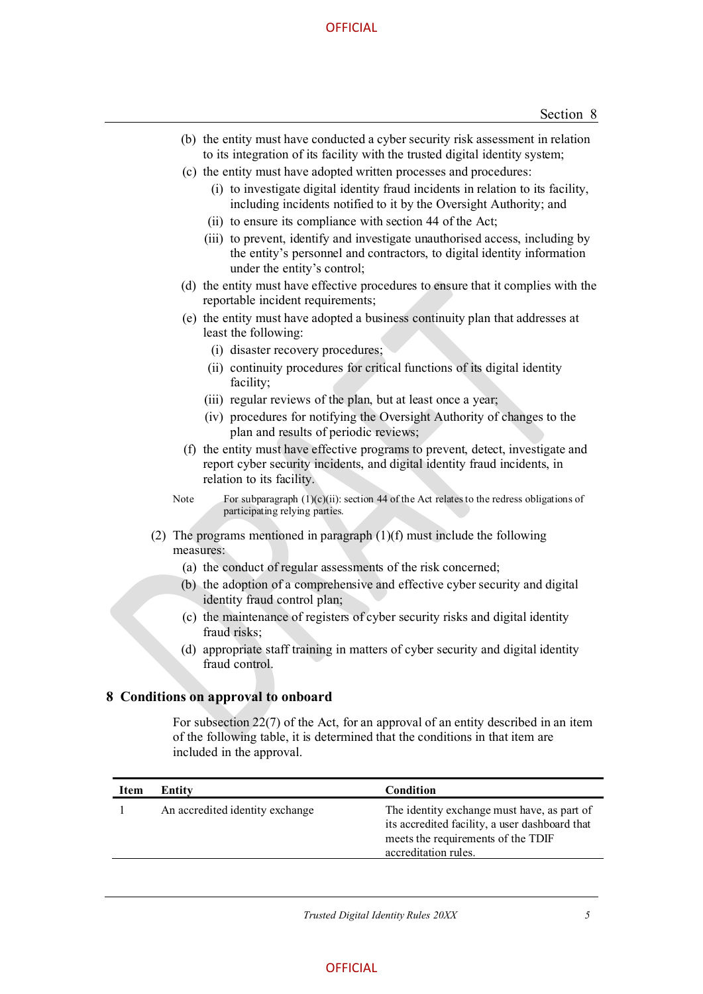#### **OFFICIAL**

- (b) the entity must have conducted a cyber security risk assessment in relation to its integration of its facility with the trusted digital identity system;
- (c) the entity must have adopted written processes and procedures:
	- (i) to investigate digital identity fraud incidents in relation to its facility, including incidents notified to it by the Oversight Authority; and
	- (ii) to ensure its compliance with section 44 of the Act;
	- (iii) to prevent, identify and investigate unauthorised access, including by the entity's personnel and contractors, to digital identity information under the entity's control;
- (d) the entity must have effective procedures to ensure that it complies with the reportable incident requirements;
- (e) the entity must have adopted a business continuity plan that addresses at least the following:
	- (i) disaster recovery procedures;
	- (ii) continuity procedures for critical functions of its digital identity facility;
	- (iii) regular reviews of the plan, but at least once a year;
	- (iv) procedures for notifying the Oversight Authority of changes to the plan and results of periodic reviews;
- (f) the entity must have effective programs to prevent, detect, investigate and report cyber security incidents, and digital identity fraud incidents, in relation to its facility.
- Note For subparagraph  $(1)(c)(ii)$ : section 44 of the Act relates to the redress obligations of participating relying parties.
- (2) The programs mentioned in paragraph  $(1)(f)$  must include the following measures:
	- (a) the conduct of regular assessments of the risk concerned;
	- (b) the adoption of a comprehensive and effective cyber security and digital identity fraud control plan;
	- (c) the maintenance of registers of cyber security risks and digital identity fraud risks;
	- (d) appropriate staff training in matters of cyber security and digital identity fraud control.

#### **8 Conditions on approval to onboard**

 For subsection 22(7) of the Act, for an approval of an entity described in an item of the following table, it is determined that the conditions in that item are included in the approval.

| Item | Entity                          | Condition                                                                                                                                                   |
|------|---------------------------------|-------------------------------------------------------------------------------------------------------------------------------------------------------------|
|      | An accredited identity exchange | The identity exchange must have, as part of<br>its accredited facility, a user dashboard that<br>meets the requirements of the TDIF<br>accreditation rules. |
|      |                                 |                                                                                                                                                             |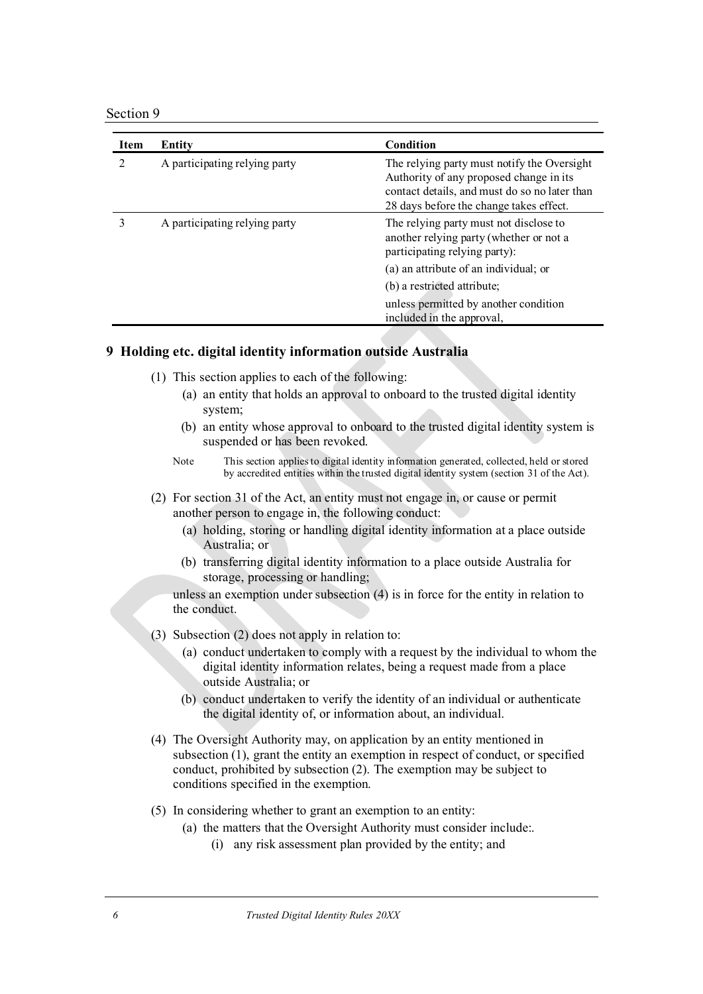#### Section 9

| Item                        | Entity                        | Condition                                                                                                                                                                          |
|-----------------------------|-------------------------------|------------------------------------------------------------------------------------------------------------------------------------------------------------------------------------|
| $\mathcal{D}_{\mathcal{A}}$ | A participating relying party | The relying party must notify the Oversight<br>Authority of any proposed change in its<br>contact details, and must do so no later than<br>28 days before the change takes effect. |
|                             | A participating relying party | The relying party must not disclose to<br>another relying party (whether or not a<br>participating relying party):<br>(a) an attribute of an individual; or                        |
|                             |                               | (b) a restricted attribute;                                                                                                                                                        |
|                             |                               | unless permitted by another condition<br>included in the approval,                                                                                                                 |

#### **9 Holding etc. digital identity information outside Australia**

- (1) This section applies to each of the following:
	- (a) an entity that holds an approval to onboard to the trusted digital identity system;
	- (b) an entity whose approval to onboard to the trusted digital identity system is suspended or has been revoked.
	- Note This section applies to digital identity information generated, collected, held or stored by accredited entities within the trusted digital identity system (section 31 of the Act).
- (2) For section 31 of the Act, an entity must not engage in, or cause or permit another person to engage in, the following conduct:
	- (a) holding, storing or handling digital identity information at a place outside Australia; or
	- (b) transferring digital identity information to a place outside Australia for storage, processing or handling;

unless an exemption under subsection (4) is in force for the entity in relation to the conduct.

- (3) Subsection (2) does not apply in relation to:
	- (a) conduct undertaken to comply with a request by the individual to whom the digital identity information relates, being a request made from a place outside Australia; or
	- (b) conduct undertaken to verify the identity of an individual or authenticate the digital identity of, or information about, an individual.
- (4) The Oversight Authority may, on application by an entity mentioned in subsection (1), grant the entity an exemption in respect of conduct, or specified conduct, prohibited by subsection (2). The exemption may be subject to conditions specified in the exemption.
- (5) In considering whether to grant an exemption to an entity:
	- (a) the matters that the Oversight Authority must consider include:.
		- (i) any risk assessment plan provided by the entity; and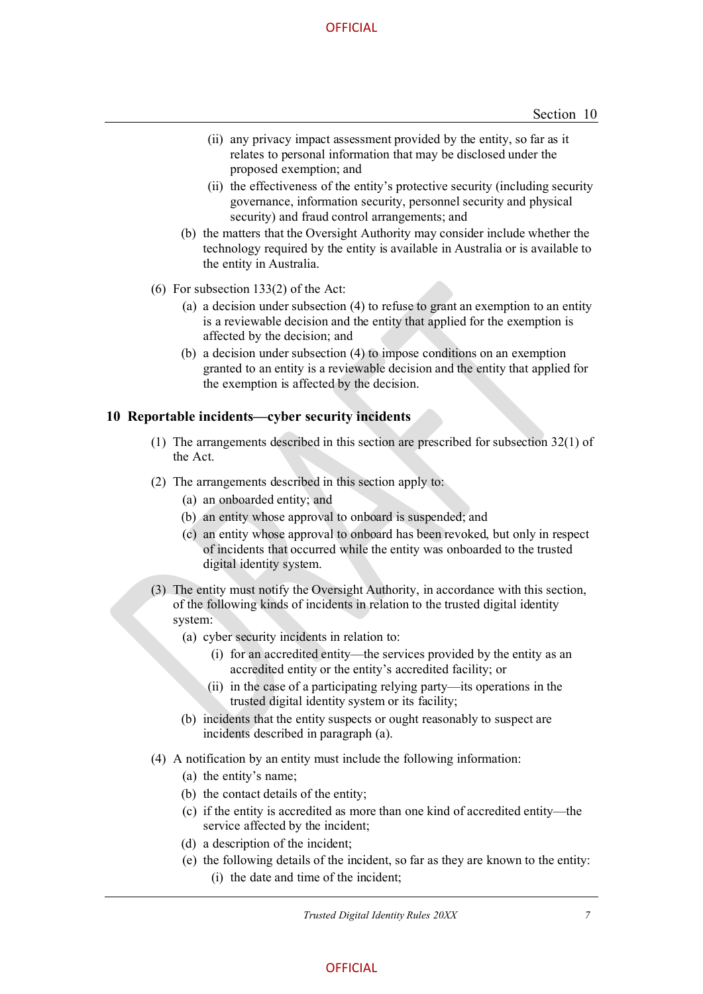- (ii) any privacy impact assessment provided by the entity, so far as it relates to personal information that may be disclosed under the proposed exemption; and
- (ii) the effectiveness of the entity's protective security (including security governance, information security, personnel security and physical security) and fraud control arrangements; and
- (b) the matters that the Oversight Authority may consider include whether the technology required by the entity is available in Australia or is available to the entity in Australia.
- (6) For subsection 133(2) of the Act:
	- (a) a decision under subsection (4) to refuse to grant an exemption to an entity is a reviewable decision and the entity that applied for the exemption is affected by the decision; and
	- (b) a decision under subsection (4) to impose conditions on an exemption granted to an entity is a reviewable decision and the entity that applied for the exemption is affected by the decision.

#### **10 Reportable incidents—cyber security incidents**

- (1) The arrangements described in this section are prescribed for subsection 32(1) of the Act.
- (2) The arrangements described in this section apply to:
	- (a) an onboarded entity; and
	- (b) an entity whose approval to onboard is suspended; and
	- (c) an entity whose approval to onboard has been revoked, but only in respect of incidents that occurred while the entity was onboarded to the trusted digital identity system.
- (3) The entity must notify the Oversight Authority, in accordance with this section, of the following kinds of incidents in relation to the trusted digital identity system:
	- (a) cyber security incidents in relation to:
		- (i) for an accredited entity—the services provided by the entity as an accredited entity or the entity's accredited facility; or
		- (ii) in the case of a participating relying party—its operations in the trusted digital identity system or its facility;
	- (b) incidents that the entity suspects or ought reasonably to suspect are incidents described in paragraph (a).
- (4) A notification by an entity must include the following information:
	- (a) the entity's name;
	- (b) the contact details of the entity;
	- (c) if the entity is accredited as more than one kind of accredited entity—the service affected by the incident;
	- (d) a description of the incident;
	- (e) the following details of the incident, so far as they are known to the entity:
		- (i) the date and time of the incident;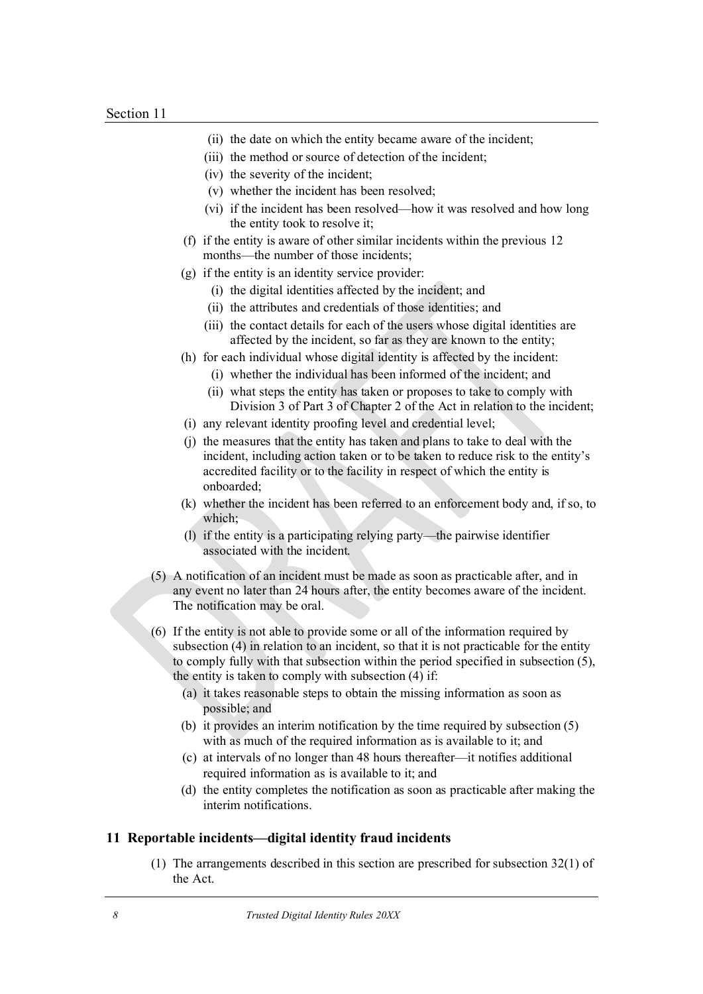- (ii) the date on which the entity became aware of the incident;
- (iii) the method or source of detection of the incident;
- (iv) the severity of the incident;
- (v) whether the incident has been resolved;
- (vi) if the incident has been resolved—how it was resolved and how long the entity took to resolve it;
- (f) if the entity is aware of other similar incidents within the previous 12 months—the number of those incidents;
- (g) if the entity is an identity service provider:
	- (i) the digital identities affected by the incident; and
	- (ii) the attributes and credentials of those identities; and
	- (iii) the contact details for each of the users whose digital identities are affected by the incident, so far as they are known to the entity;
- (h) for each individual whose digital identity is affected by the incident:
	- (i) whether the individual has been informed of the incident; and
	- (ii) what steps the entity has taken or proposes to take to comply with Division 3 of Part 3 of Chapter 2 of the Act in relation to the incident;
- (i) any relevant identity proofing level and credential level;
- (j) the measures that the entity has taken and plans to take to deal with the incident, including action taken or to be taken to reduce risk to the entity's accredited facility or to the facility in respect of which the entity is onboarded;
- (k) whether the incident has been referred to an enforcement body and, if so, to which;
- (l) if the entity is a participating relying party—the pairwise identifier associated with the incident.
- (5) A notification of an incident must be made as soon as practicable after, and in any event no later than 24 hours after, the entity becomes aware of the incident. The notification may be oral.
- (6) If the entity is not able to provide some or all of the information required by subsection (4) in relation to an incident, so that it is not practicable for the entity to comply fully with that subsection within the period specified in subsection (5), the entity is taken to comply with subsection (4) if:
	- (a) it takes reasonable steps to obtain the missing information as soon as possible; and
	- (b) it provides an interim notification by the time required by subsection (5) with as much of the required information as is available to it; and
	- (c) at intervals of no longer than 48 hours thereafter—it notifies additional required information as is available to it; and
	- (d) the entity completes the notification as soon as practicable after making the interim notifications.

#### **11 Reportable incidents—digital identity fraud incidents**

(1) The arrangements described in this section are prescribed for subsection 32(1) of the Act.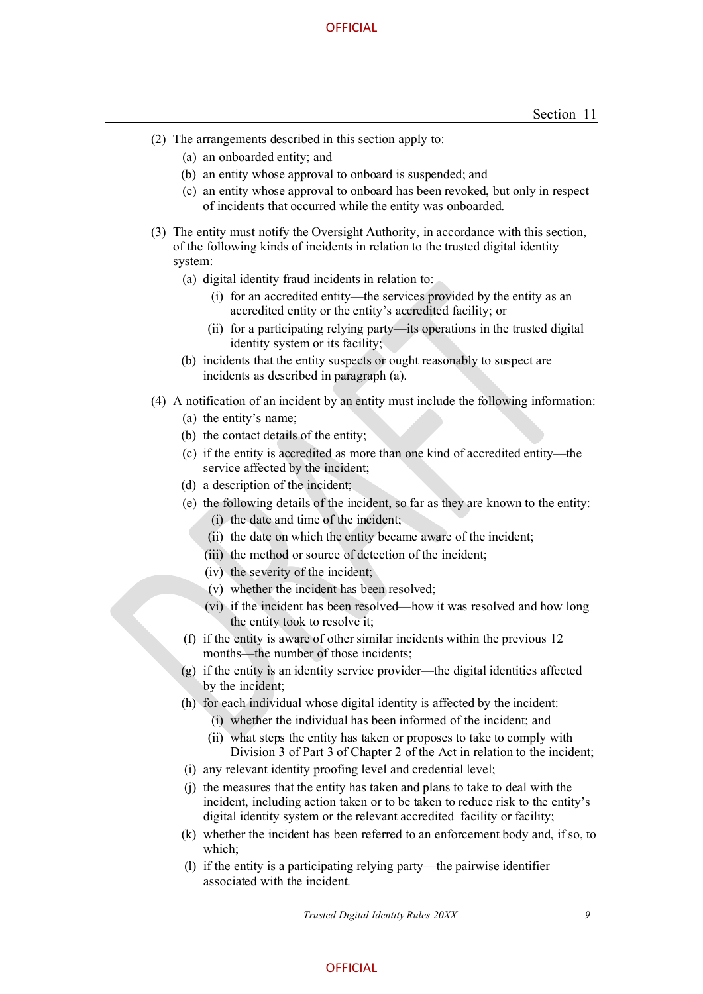- (2) The arrangements described in this section apply to:
	- (a) an onboarded entity; and
	- (b) an entity whose approval to onboard is suspended; and
	- (c) an entity whose approval to onboard has been revoked, but only in respect of incidents that occurred while the entity was onboarded.
- (3) The entity must notify the Oversight Authority, in accordance with this section, of the following kinds of incidents in relation to the trusted digital identity system:
	- (a) digital identity fraud incidents in relation to:
		- (i) for an accredited entity—the services provided by the entity as an accredited entity or the entity's accredited facility; or
		- (ii) for a participating relying party—its operations in the trusted digital identity system or its facility;
	- (b) incidents that the entity suspects or ought reasonably to suspect are incidents as described in paragraph (a).
- (4) A notification of an incident by an entity must include the following information:
	- (a) the entity's name;
	- (b) the contact details of the entity;
	- (c) if the entity is accredited as more than one kind of accredited entity—the service affected by the incident;
	- (d) a description of the incident;
	- (e) the following details of the incident, so far as they are known to the entity:
		- (i) the date and time of the incident;
		- (ii) the date on which the entity became aware of the incident;
		- (iii) the method or source of detection of the incident;
		- (iv) the severity of the incident;
		- (v) whether the incident has been resolved;
		- (vi) if the incident has been resolved—how it was resolved and how long the entity took to resolve it;
	- (f) if the entity is aware of other similar incidents within the previous 12 months—the number of those incidents;
	- (g) if the entity is an identity service provider—the digital identities affected by the incident;
	- (h) for each individual whose digital identity is affected by the incident:
		- (i) whether the individual has been informed of the incident; and
		- (ii) what steps the entity has taken or proposes to take to comply with Division 3 of Part 3 of Chapter 2 of the Act in relation to the incident;
	- (i) any relevant identity proofing level and credential level;
	- (j) the measures that the entity has taken and plans to take to deal with the incident, including action taken or to be taken to reduce risk to the entity's digital identity system or the relevant accredited facility or facility;
	- (k) whether the incident has been referred to an enforcement body and, if so, to which;
	- (l) if the entity is a participating relying party—the pairwise identifier associated with the incident.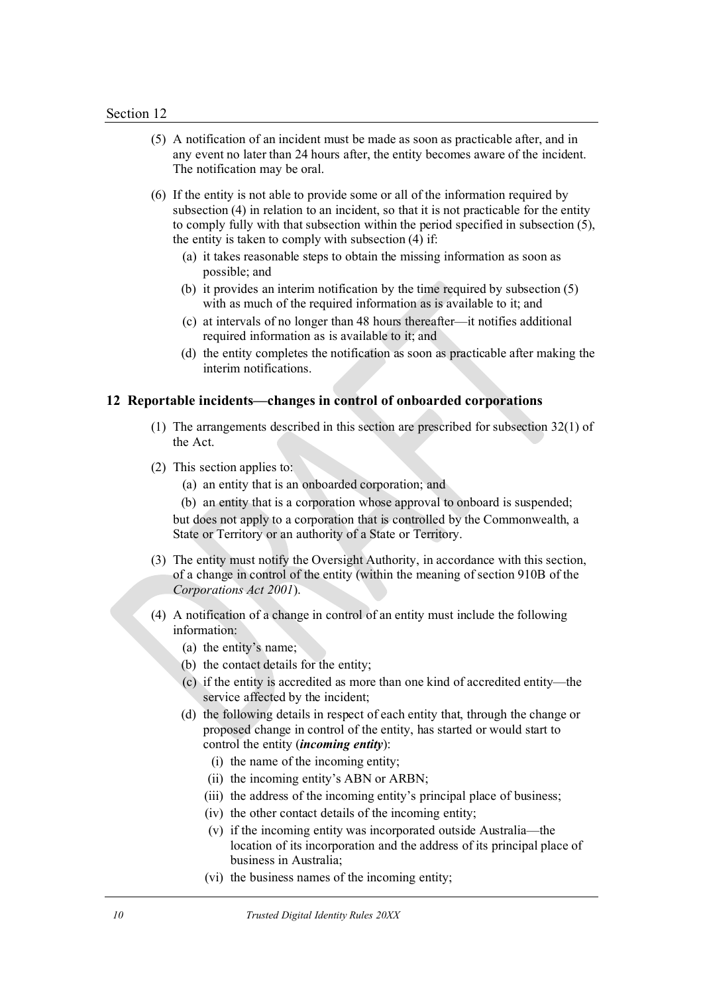- (5) A notification of an incident must be made as soon as practicable after, and in any event no later than 24 hours after, the entity becomes aware of the incident. The notification may be oral.
- (6) If the entity is not able to provide some or all of the information required by subsection (4) in relation to an incident, so that it is not practicable for the entity to comply fully with that subsection within the period specified in subsection (5), the entity is taken to comply with subsection (4) if:
	- (a) it takes reasonable steps to obtain the missing information as soon as possible; and
	- (b) it provides an interim notification by the time required by subsection (5) with as much of the required information as is available to it; and
	- (c) at intervals of no longer than 48 hours thereafter—it notifies additional required information as is available to it; and
	- (d) the entity completes the notification as soon as practicable after making the interim notifications.

#### **12 Reportable incidents—changes in control of onboarded corporations**

- (1) The arrangements described in this section are prescribed for subsection 32(1) of the Act.
- (2) This section applies to:
	- (a) an entity that is an onboarded corporation; and
	- (b) an entity that is a corporation whose approval to onboard is suspended;

but does not apply to a corporation that is controlled by the Commonwealth, a State or Territory or an authority of a State or Territory.

- (3) The entity must notify the Oversight Authority, in accordance with this section, of a change in control of the entity (within the meaning of section 910B of the *Corporations Act 2001*).
- (4) A notification of a change in control of an entity must include the following information:
	- (a) the entity's name;
	- (b) the contact details for the entity;
	- (c) if the entity is accredited as more than one kind of accredited entity—the service affected by the incident;
	- (d) the following details in respect of each entity that, through the change or proposed change in control of the entity, has started or would start to control the entity (*incoming entity*):
		- (i) the name of the incoming entity;
		- (ii) the incoming entity's ABN or ARBN;
		- (iii) the address of the incoming entity's principal place of business;
		- (iv) the other contact details of the incoming entity;
		- (v) if the incoming entity was incorporated outside Australia—the location of its incorporation and the address of its principal place of business in Australia;
		- (vi) the business names of the incoming entity;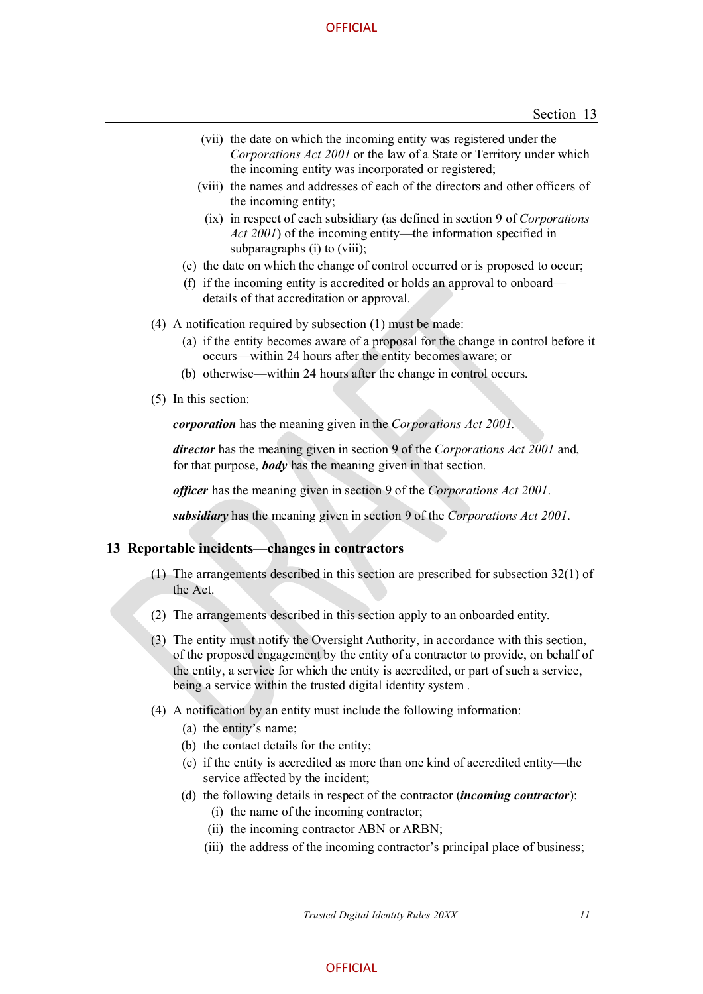- (vii) the date on which the incoming entity was registered under the *Corporations Act 2001* or the law of a State or Territory under which the incoming entity was incorporated or registered;
- (viii) the names and addresses of each of the directors and other officers of the incoming entity;
	- (ix) in respect of each subsidiary (as defined in section 9 of *Corporations Act 2001*) of the incoming entity—the information specified in subparagraphs (i) to (viii);
- (e) the date on which the change of control occurred or is proposed to occur;
- (f) if the incoming entity is accredited or holds an approval to onboard details of that accreditation or approval.
- (4) A notification required by subsection (1) must be made:
	- (a) if the entity becomes aware of a proposal for the change in control before it occurs—within 24 hours after the entity becomes aware; or
	- (b) otherwise—within 24 hours after the change in control occurs.
- (5) In this section:

*corporation* has the meaning given in the *Corporations Act 2001*.

*director* has the meaning given in section 9 of the *Corporations Act 2001* and, for that purpose, *body* has the meaning given in that section.

*officer* has the meaning given in section 9 of the *Corporations Act 2001*.

*subsidiary* has the meaning given in section 9 of the *Corporations Act 2001*.

#### **13 Reportable incidents—changes in contractors**

- (1) The arrangements described in this section are prescribed for subsection 32(1) of the Act.
- (2) The arrangements described in this section apply to an onboarded entity.
- (3) The entity must notify the Oversight Authority, in accordance with this section, of the proposed engagement by the entity of a contractor to provide, on behalf of the entity, a service for which the entity is accredited, or part of such a service, being a service within the trusted digital identity system .
- (4) A notification by an entity must include the following information:
	- (a) the entity's name;
	- (b) the contact details for the entity;
	- (c) if the entity is accredited as more than one kind of accredited entity—the service affected by the incident;
	- (d) the following details in respect of the contractor (*incoming contractor*):
		- (i) the name of the incoming contractor;
		- (ii) the incoming contractor ABN or ARBN;
		- (iii) the address of the incoming contractor's principal place of business;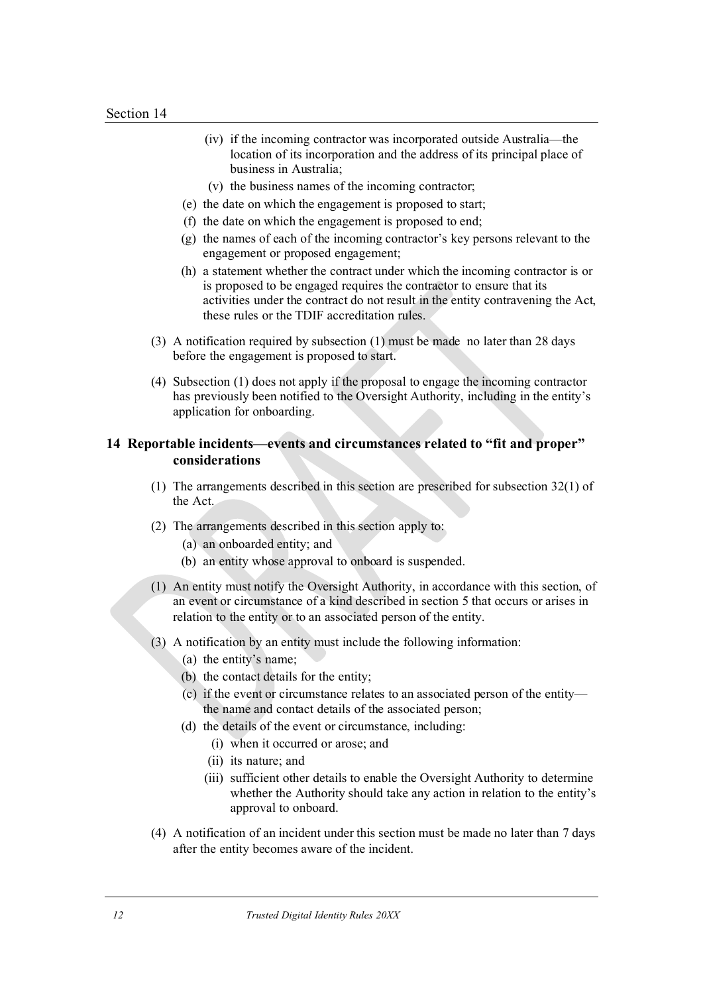- (iv) if the incoming contractor was incorporated outside Australia—the location of its incorporation and the address of its principal place of business in Australia;
- (v) the business names of the incoming contractor;
- (e) the date on which the engagement is proposed to start;
- (f) the date on which the engagement is proposed to end;
- (g) the names of each of the incoming contractor's key persons relevant to the engagement or proposed engagement;
- (h) a statement whether the contract under which the incoming contractor is or is proposed to be engaged requires the contractor to ensure that its activities under the contract do not result in the entity contravening the Act, these rules or the TDIF accreditation rules.
- (3) A notification required by subsection (1) must be made no later than 28 days before the engagement is proposed to start.
- (4) Subsection (1) does not apply if the proposal to engage the incoming contractor has previously been notified to the Oversight Authority, including in the entity's application for onboarding.

### **14 Reportable incidents—events and circumstances related to "fit and proper" considerations**

- (1) The arrangements described in this section are prescribed for subsection 32(1) of the Act.
- (2) The arrangements described in this section apply to:
	- (a) an onboarded entity; and
	- (b) an entity whose approval to onboard is suspended.
- (1) An entity must notify the Oversight Authority, in accordance with this section, of an event or circumstance of a kind described in section 5 that occurs or arises in relation to the entity or to an associated person of the entity.
- (3) A notification by an entity must include the following information:
	- (a) the entity's name;
	- (b) the contact details for the entity;
	- (c) if the event or circumstance relates to an associated person of the entity the name and contact details of the associated person;
	- (d) the details of the event or circumstance, including:
		- (i) when it occurred or arose; and
		- (ii) its nature; and
		- (iii) sufficient other details to enable the Oversight Authority to determine whether the Authority should take any action in relation to the entity's approval to onboard.
- (4) A notification of an incident under this section must be made no later than 7 days after the entity becomes aware of the incident.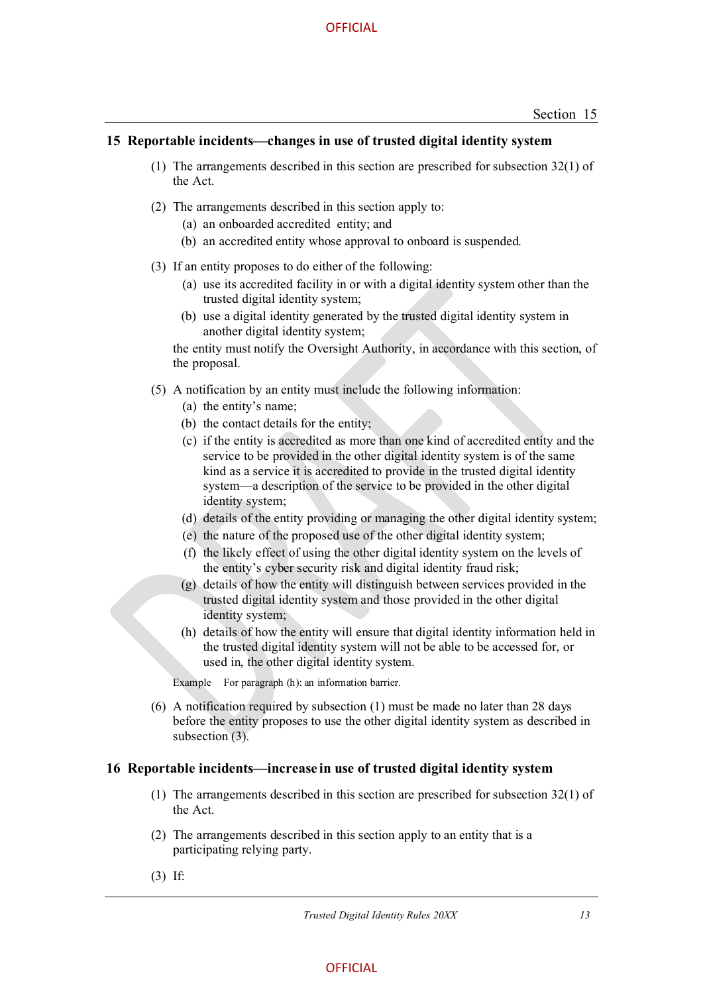#### **15 Reportable incidents—changes in use of trusted digital identity system**

- (1) The arrangements described in this section are prescribed for subsection 32(1) of the Act.
- (2) The arrangements described in this section apply to:
	- (a) an onboarded accredited entity; and
	- (b) an accredited entity whose approval to onboard is suspended.
- (3) If an entity proposes to do either of the following:
	- (a) use its accredited facility in or with a digital identity system other than the trusted digital identity system;
	- (b) use a digital identity generated by the trusted digital identity system in another digital identity system;

the entity must notify the Oversight Authority, in accordance with this section, of the proposal.

- (5) A notification by an entity must include the following information:
	- (a) the entity's name;
	- (b) the contact details for the entity;
	- (c) if the entity is accredited as more than one kind of accredited entity and the service to be provided in the other digital identity system is of the same kind as a service it is accredited to provide in the trusted digital identity system—a description of the service to be provided in the other digital identity system;
	- (d) details of the entity providing or managing the other digital identity system;
	- (e) the nature of the proposed use of the other digital identity system;
	- (f) the likely effect of using the other digital identity system on the levels of the entity's cyber security risk and digital identity fraud risk;
	- (g) details of how the entity will distinguish between services provided in the trusted digital identity system and those provided in the other digital identity system;
	- (h) details of how the entity will ensure that digital identity information held in the trusted digital identity system will not be able to be accessed for, or used in, the other digital identity system.

Example For paragraph (h): an information barrier.

 (6) A notification required by subsection (1) must be made no later than 28 days before the entity proposes to use the other digital identity system as described in subsection (3).

#### **16 Reportable incidents—increase in use of trusted digital identity system**

- (1) The arrangements described in this section are prescribed for subsection 32(1) of the Act.
- (2) The arrangements described in this section apply to an entity that is a participating relying party.
- (3) If: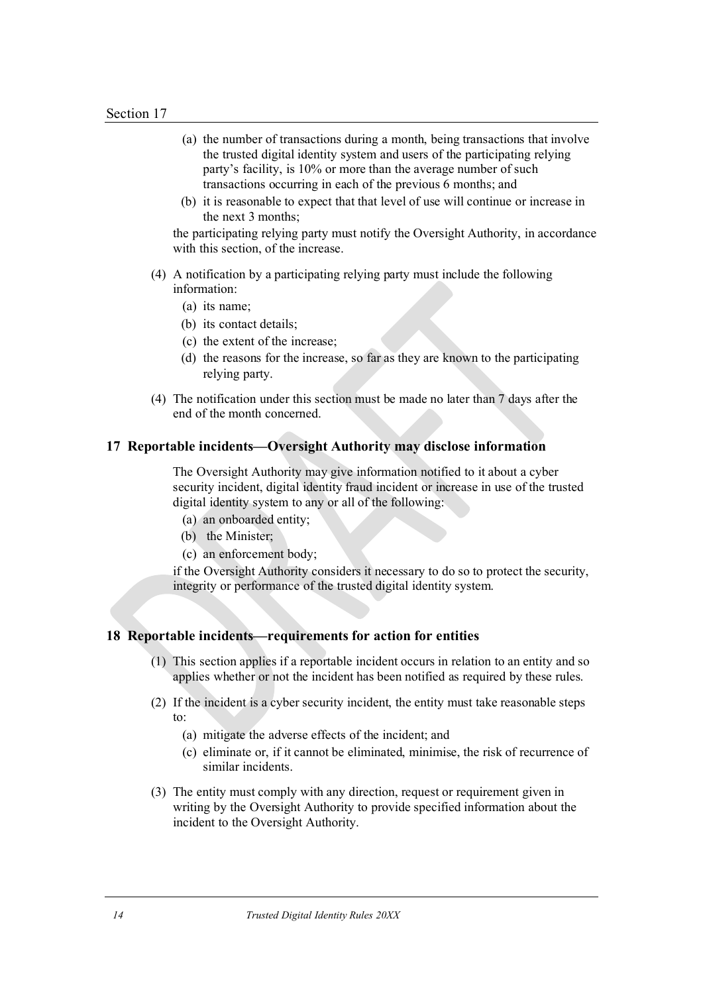- (a) the number of transactions during a month, being transactions that involve the trusted digital identity system and users of the participating relying party's facility, is 10% or more than the average number of such transactions occurring in each of the previous 6 months; and
- (b) it is reasonable to expect that that level of use will continue or increase in the next 3 months;

the participating relying party must notify the Oversight Authority, in accordance with this section, of the increase.

- (4) A notification by a participating relying party must include the following information:
	- (a) its name;
	- (b) its contact details;
	- (c) the extent of the increase;
	- (d) the reasons for the increase, so far as they are known to the participating relying party.
- (4) The notification under this section must be made no later than 7 days after the end of the month concerned.

#### **17 Reportable incidents—Oversight Authority may disclose information**

 The Oversight Authority may give information notified to it about a cyber security incident, digital identity fraud incident or increase in use of the trusted digital identity system to any or all of the following:

- (a) an onboarded entity;
- (b) the Minister;
- (c) an enforcement body;

if the Oversight Authority considers it necessary to do so to protect the security, integrity or performance of the trusted digital identity system.

# **18 Reportable incidents—requirements for action for entities**

- (1) This section applies if a reportable incident occurs in relation to an entity and so applies whether or not the incident has been notified as required by these rules.
- (2) If the incident is a cyber security incident, the entity must take reasonable steps to:
	- (a) mitigate the adverse effects of the incident; and
	- (c) eliminate or, if it cannot be eliminated, minimise, the risk of recurrence of similar incidents.
- (3) The entity must comply with any direction, request or requirement given in writing by the Oversight Authority to provide specified information about the incident to the Oversight Authority.